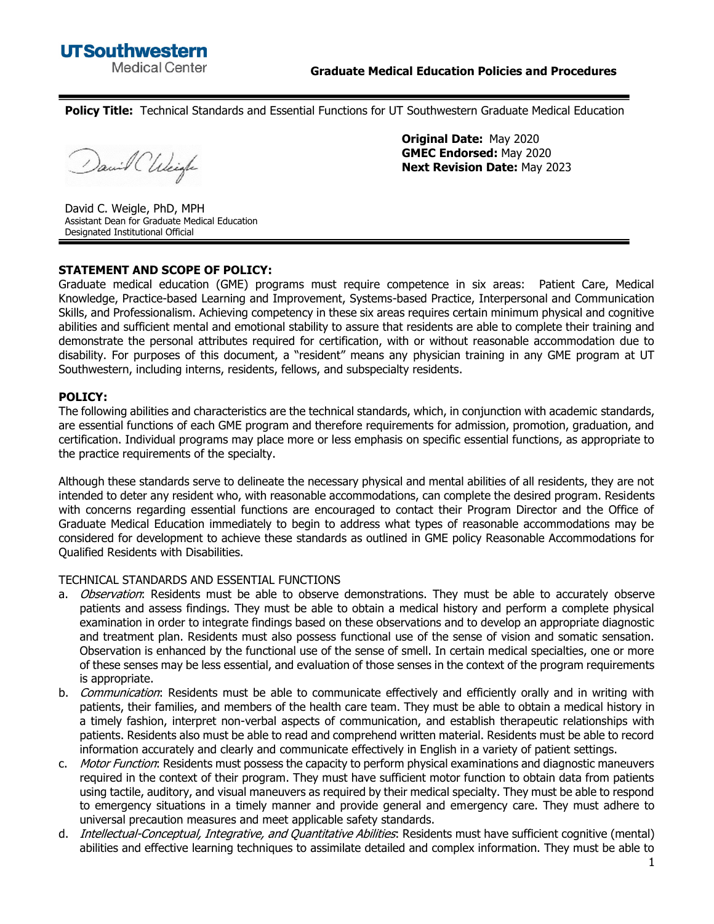**Policy Title:** Technical Standards and Essential Functions for UT Southwestern Graduate Medical Education

David CUlcigle

**Original Date:** May 2020 **GMEC Endorsed:** May 2020 **Next Revision Date:** May 2023

David C. Weigle, PhD, MPH Assistant Dean for Graduate Medical Education Designated Institutional Official

## **STATEMENT AND SCOPE OF POLICY:**

Graduate medical education (GME) programs must require competence in six areas: Patient Care, Medical Knowledge, Practice-based Learning and Improvement, Systems-based Practice, Interpersonal and Communication Skills, and Professionalism. Achieving competency in these six areas requires certain minimum physical and cognitive abilities and sufficient mental and emotional stability to assure that residents are able to complete their training and demonstrate the personal attributes required for certification, with or without reasonable accommodation due to disability. For purposes of this document, a "resident" means any physician training in any GME program at UT Southwestern, including interns, residents, fellows, and subspecialty residents.

## **POLICY:**

The following abilities and characteristics are the technical standards, which, in conjunction with academic standards, are essential functions of each GME program and therefore requirements for admission, promotion, graduation, and certification. Individual programs may place more or less emphasis on specific essential functions, as appropriate to the practice requirements of the specialty.

Although these standards serve to delineate the necessary physical and mental abilities of all residents, they are not intended to deter any resident who, with reasonable accommodations, can complete the desired program. Residents with concerns regarding essential functions are encouraged to contact their Program Director and the Office of Graduate Medical Education immediately to begin to address what types of reasonable accommodations may be considered for development to achieve these standards as outlined in GME policy Reasonable Accommodations for Qualified Residents with Disabilities.

## TECHNICAL STANDARDS AND ESSENTIAL FUNCTIONS

- a. *Observation*: Residents must be able to observe demonstrations. They must be able to accurately observe patients and assess findings. They must be able to obtain a medical history and perform a complete physical examination in order to integrate findings based on these observations and to develop an appropriate diagnostic and treatment plan. Residents must also possess functional use of the sense of vision and somatic sensation. Observation is enhanced by the functional use of the sense of smell. In certain medical specialties, one or more of these senses may be less essential, and evaluation of those senses in the context of the program requirements is appropriate.
- b. Communication: Residents must be able to communicate effectively and efficiently orally and in writing with patients, their families, and members of the health care team. They must be able to obtain a medical history in a timely fashion, interpret non-verbal aspects of communication, and establish therapeutic relationships with patients. Residents also must be able to read and comprehend written material. Residents must be able to record information accurately and clearly and communicate effectively in English in a variety of patient settings.
- c. Motor Function: Residents must possess the capacity to perform physical examinations and diagnostic maneuvers required in the context of their program. They must have sufficient motor function to obtain data from patients using tactile, auditory, and visual maneuvers as required by their medical specialty. They must be able to respond to emergency situations in a timely manner and provide general and emergency care. They must adhere to universal precaution measures and meet applicable safety standards.
- d. *Intellectual-Conceptual, Integrative, and Quantitative Abilities*: Residents must have sufficient cognitive (mental) abilities and effective learning techniques to assimilate detailed and complex information. They must be able to